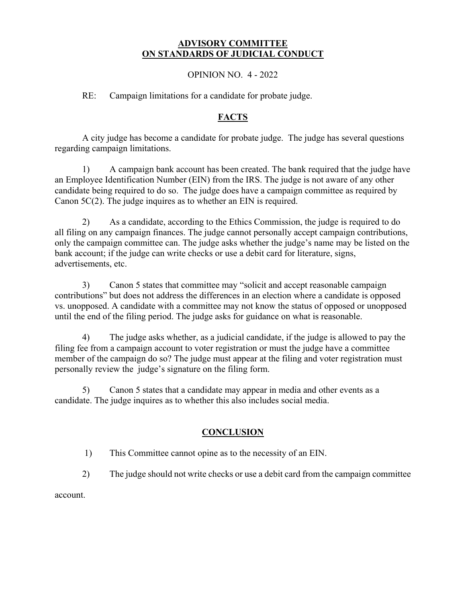#### **ADVISORY COMMITTEE ON STANDARDS OF JUDICIAL CONDUCT**

#### OPINION NO. 4 - 2022

RE: Campaign limitations for a candidate for probate judge.

## **FACTS**

A city judge has become a candidate for probate judge. The judge has several questions regarding campaign limitations.

1) A campaign bank account has been created. The bank required that the judge have an Employee Identification Number (EIN) from the IRS. The judge is not aware of any other candidate being required to do so. The judge does have a campaign committee as required by Canon 5C(2). The judge inquires as to whether an EIN is required.

2) As a candidate, according to the Ethics Commission, the judge is required to do all filing on any campaign finances. The judge cannot personally accept campaign contributions, only the campaign committee can. The judge asks whether the judge's name may be listed on the bank account; if the judge can write checks or use a debit card for literature, signs, advertisements, etc.

3) Canon 5 states that committee may "solicit and accept reasonable campaign contributions" but does not address the differences in an election where a candidate is opposed vs. unopposed. A candidate with a committee may not know the status of opposed or unopposed until the end of the filing period. The judge asks for guidance on what is reasonable.

4) The judge asks whether, as a judicial candidate, if the judge is allowed to pay the filing fee from a campaign account to voter registration or must the judge have a committee member of the campaign do so? The judge must appear at the filing and voter registration must personally review the judge's signature on the filing form.

5) Canon 5 states that a candidate may appear in media and other events as a candidate. The judge inquires as to whether this also includes social media.

# **CONCLUSION**

- 1) This Committee cannot opine as to the necessity of an EIN.
- 2) The judge should not write checks or use a debit card from the campaign committee

account.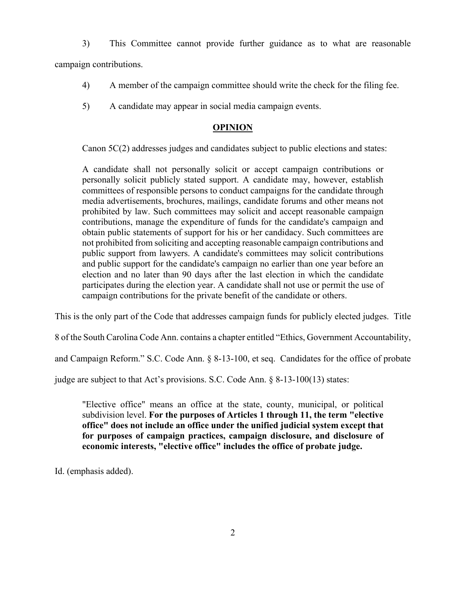3) This Committee cannot provide further guidance as to what are reasonable

campaign contributions.

- 4) A member of the campaign committee should write the check for the filing fee.
- 5) A candidate may appear in social media campaign events.

## **OPINION**

Canon 5C(2) addresses judges and candidates subject to public elections and states:

A candidate shall not personally solicit or accept campaign contributions or personally solicit publicly stated support. A candidate may, however, establish committees of responsible persons to conduct campaigns for the candidate through media advertisements, brochures, mailings, candidate forums and other means not prohibited by law. Such committees may solicit and accept reasonable campaign contributions, manage the expenditure of funds for the candidate's campaign and obtain public statements of support for his or her candidacy. Such committees are not prohibited from soliciting and accepting reasonable campaign contributions and public support from lawyers. A candidate's committees may solicit contributions and public support for the candidate's campaign no earlier than one year before an election and no later than 90 days after the last election in which the candidate participates during the election year. A candidate shall not use or permit the use of campaign contributions for the private benefit of the candidate or others.

This is the only part of the Code that addresses campaign funds for publicly elected judges. Title

8 of the South Carolina Code Ann. contains a chapter entitled "Ethics, Government Accountability,

and Campaign Reform." S.C. Code Ann. § 8-13-100, et seq. Candidates for the office of probate

judge are subject to that Act's provisions. S.C. Code Ann. § 8-13-100(13) states:

"Elective office" means an office at the state, county, municipal, or political subdivision level. **For the purposes of Articles 1 through 11, the term "elective office" does not include an office under the unified judicial system except that for purposes of campaign practices, campaign disclosure, and disclosure of economic interests, "elective office" includes the office of probate judge.** 

Id. (emphasis added).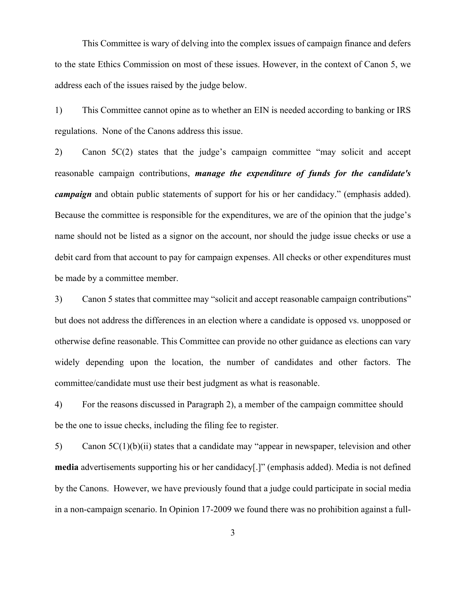This Committee is wary of delving into the complex issues of campaign finance and defers to the state Ethics Commission on most of these issues. However, in the context of Canon 5, we address each of the issues raised by the judge below.

1) This Committee cannot opine as to whether an EIN is needed according to banking or IRS regulations. None of the Canons address this issue.

2) Canon 5C(2) states that the judge's campaign committee "may solicit and accept reasonable campaign contributions, *manage the expenditure of funds for the candidate's campaign* and obtain public statements of support for his or her candidacy." (emphasis added). Because the committee is responsible for the expenditures, we are of the opinion that the judge's name should not be listed as a signor on the account, nor should the judge issue checks or use a debit card from that account to pay for campaign expenses. All checks or other expenditures must be made by a committee member.

3) Canon 5 states that committee may "solicit and accept reasonable campaign contributions" but does not address the differences in an election where a candidate is opposed vs. unopposed or otherwise define reasonable. This Committee can provide no other guidance as elections can vary widely depending upon the location, the number of candidates and other factors. The committee/candidate must use their best judgment as what is reasonable.

4) For the reasons discussed in Paragraph 2), a member of the campaign committee should be the one to issue checks, including the filing fee to register.

5) Canon 5C(1)(b)(ii) states that a candidate may "appear in newspaper, television and other **media** advertisements supporting his or her candidacy[.]" (emphasis added). Media is not defined by the Canons. However, we have previously found that a judge could participate in social media in a non-campaign scenario. In Opinion 17-2009 we found there was no prohibition against a full